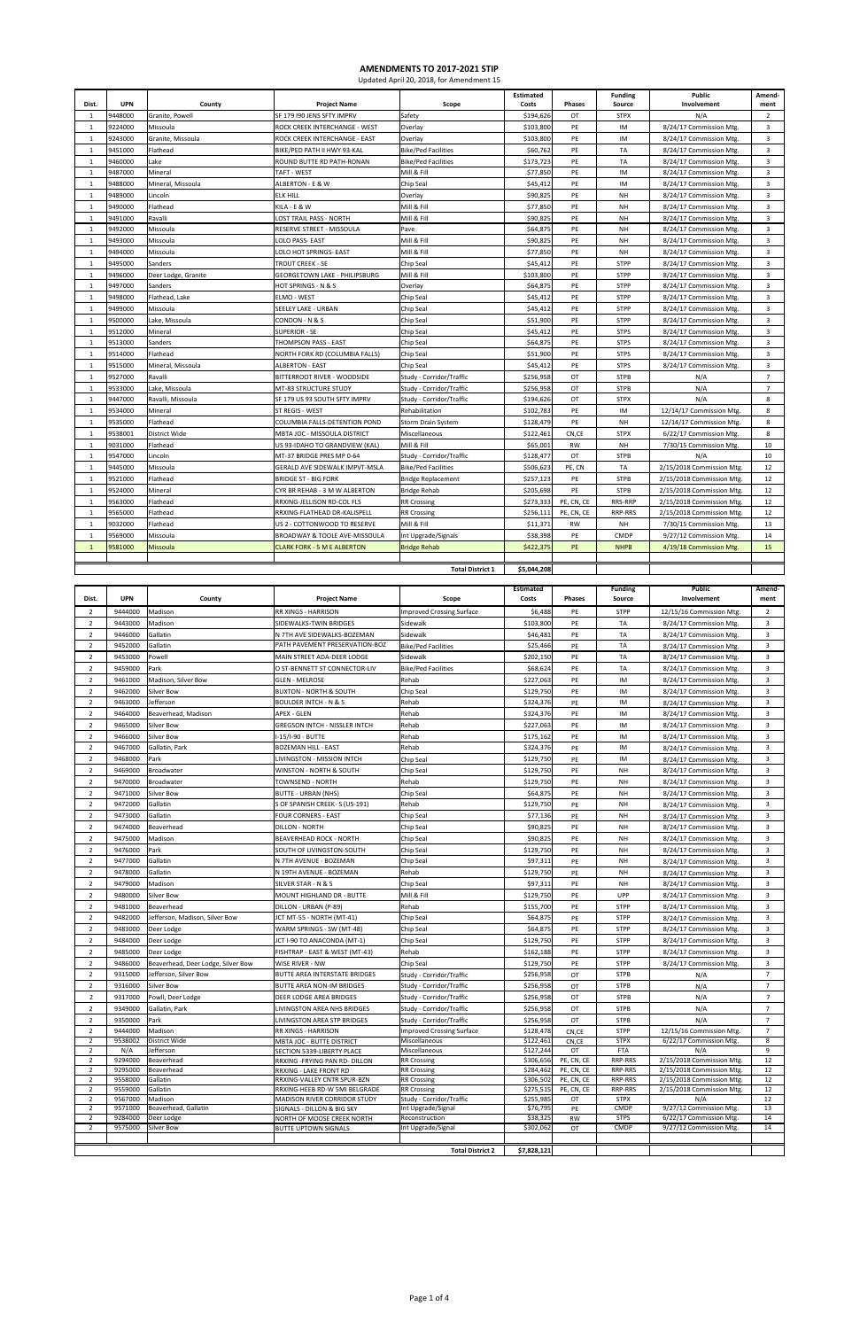| Dist.                            | <b>UPN</b>         | County                                       | <b>Project Name</b>                                         | Scope                                     | <b>Estimated</b><br>Costs | Phases     | <b>Funding</b><br>Source   | Public<br>Involvement                                  | Amend-<br>ment                                     |
|----------------------------------|--------------------|----------------------------------------------|-------------------------------------------------------------|-------------------------------------------|---------------------------|------------|----------------------------|--------------------------------------------------------|----------------------------------------------------|
| $\overline{1}$                   | 9448000            | Granite, Powell                              | SF 179 I90 JENS SFTY IMPRV                                  | Safety                                    | \$194,626                 | OT         | <b>STPX</b>                | N/A                                                    | $\overline{2}$                                     |
| 1                                | 9224000            | Missoula                                     | ROCK CREEK INTERCHANGE - WEST                               | Overlay                                   | \$103,800                 | PE         | IM                         | 8/24/17 Commission Mtg.                                | $\overline{3}$                                     |
| 1                                | 9243000            | Granite, Missoula                            | ROCK CREEK INTERCHANGE - EAST                               | Overlay                                   | \$103,800                 | PE         | IM                         | 8/24/17 Commission Mtg.                                | 3                                                  |
| 1                                | 9451000            | Flathead                                     | BIKE/PED PATH II HWY 93-KAL                                 | <b>Bike/Ped Facilities</b>                | \$60,762                  | PE         | <b>TA</b>                  | 8/24/17 Commission Mtg.                                | $\overline{3}$                                     |
| $\mathbf{1}$                     | 9460000            | Lake                                         | ROUND BUTTE RD PATH-RONAN                                   | <b>Bike/Ped Facilities</b>                | \$173,723                 | PE         | TA                         | 8/24/17 Commission Mtg.                                | 3                                                  |
| 1                                | 9487000            | Mineral                                      | TAFT - WEST                                                 | Mill & Fill                               | \$77,850                  | PE         | IM                         | 8/24/17 Commission Mtg.                                | $\overline{3}$                                     |
| 1                                | 9488000            | Mineral, Missoula                            | ALBERTON - E & W                                            | Chip Seal                                 | \$45,412                  | PE         | IM                         | 8/24/17 Commission Mtg.                                | $\overline{3}$                                     |
| $\mathbf{1}$<br>1                | 9489000            | Lincoln<br>Flathead                          | <b>ELK HILL</b><br>KILA - E & W                             | Overlay<br>Mill & Fill                    | \$90,825                  | PE<br>PE   | <b>NH</b><br>NH            | 8/24/17 Commission Mtg.                                | $\overline{3}$<br>$\overline{3}$                   |
| 1                                | 9490000<br>9491000 | Ravalli                                      | OST TRAIL PASS - NORTH                                      | Mill & Fill                               | \$77,850<br>\$90,825      | PE         | <b>NH</b>                  | 8/24/17 Commission Mtg.<br>8/24/17 Commission Mtg.     | $\overline{3}$                                     |
| 1                                | 9492000            | Missoula                                     | RESERVE STREET - MISSOULA                                   | Pave                                      | \$64,875                  | PE         | NH                         | 8/24/17 Commission Mtg.                                | 3                                                  |
| $\mathbf{1}$                     | 9493000            | Missoula                                     | <b>OLO PASS-EAST</b>                                        | Mill & Fill                               | \$90,825                  | PE         | <b>NH</b>                  | 8/24/17 Commission Mtg.                                | $\overline{3}$                                     |
| $\mathbf{1}$                     | 9494000            | Missoula                                     | OLO HOT SPRINGS- EAST.                                      | Mill & Fill                               | \$77,850                  | PE         | NH                         | 8/24/17 Commission Mtg.                                | $\overline{3}$                                     |
| 1                                | 9495000            | Sanders                                      | TROUT CREEK - SE                                            | Chip Seal                                 | \$45,412                  | PE         | <b>STPP</b>                | 8/24/17 Commission Mtg.                                | $\overline{3}$                                     |
| 1                                | 9496000            | Deer Lodge, Granite                          | <b>GEORGETOWN LAKE - PHILIPSBURG</b>                        | Mill & Fill                               | \$103,800                 | PE         | <b>STPP</b>                | 8/24/17 Commission Mtg.                                | $\overline{3}$                                     |
| $\mathbf{1}$                     | 9497000            | Sanders                                      | <b>HOT SPRINGS - N &amp; S</b>                              | Overlay                                   | \$64,875                  | PE         | <b>STPP</b>                | 8/24/17 Commission Mtg.                                | $\overline{3}$                                     |
| 1                                | 9498000            | Flathead, Lake                               | ELMO - WEST                                                 | Chip Seal                                 | \$45,412                  | PE         | <b>STPP</b>                | 8/24/17 Commission Mtg.                                | 3                                                  |
| 1                                | 9499000            | Missoula                                     | SEELEY LAKE - URBAN                                         | Chip Seal                                 | \$45,412                  | PE         | <b>STPP</b>                | 8/24/17 Commission Mtg.                                | $\overline{3}$                                     |
| $\mathbf{1}$                     | 9500000            | Lake, Missoula                               | CONDON - N & S                                              | Chip Seal                                 | \$51,900                  | PE         | <b>STPP</b>                | 8/24/17 Commission Mtg.                                | 3                                                  |
| 1                                | 9512000            | Mineral                                      | <b>SUPERIOR - SE</b>                                        | Chip Seal                                 | \$45,412                  | PE         | <b>STPS</b>                | 8/24/17 Commission Mtg.                                | $\overline{\mathbf{3}}$                            |
| 1<br>1                           | 9513000<br>9514000 | Sanders<br>Flathead                          | THOMPSON PASS - EAST<br>NORTH FORK RD (COLUMBIA FALLS)      | Chip Seal<br>Chip Seal                    | \$64,875<br>\$51,900      | PE<br>PE   | <b>STPS</b><br><b>STPS</b> | 8/24/17 Commission Mtg.<br>8/24/17 Commission Mtg.     | $\overline{\mathbf{3}}$<br>$\overline{\mathbf{3}}$ |
| 1                                | 9515000            | Mineral, Missoula                            | <b>ALBERTON - EAST</b>                                      | Chip Seal                                 | \$45,412                  | PE         | <b>STPS</b>                | 8/24/17 Commission Mtg.                                | $\mathbf{3}$                                       |
| 1                                | 9527000            | Ravalli                                      | BITTERROOT RIVER - WOODSIDE                                 | Study - Corridor/Traffic                  | \$256,958                 | OT         | <b>STPB</b>                | N/A                                                    | $\overline{7}$                                     |
| 1                                | 9533000            | Lake, Missoula                               | MT-83 STRUCTURE STUDY                                       | Study - Corridor/Traffic                  | \$256,958                 | OT         | <b>STPB</b>                | N/A                                                    | $\overline{7}$                                     |
| 1                                | 9447000            | Ravalli, Missoula                            | SF 179 US 93 SOUTH SFTY IMPRV                               | Study - Corridor/Traffic                  | \$194,626                 | OT         | <b>STPX</b>                | N/A                                                    | 8                                                  |
| 1                                | 9534000            | Mineral                                      | ST REGIS - WEST                                             | Rehabilitation                            | \$102,783                 | PE         | IM                         | 12/14/17 Commission Mtg.                               | 8                                                  |
| 1                                | 9535000            | Flathead                                     | COLUMBIA FALLS-DETENTION POND                               | Storm Drain System                        | \$128,479                 | PE         | <b>NH</b>                  | 12/14/17 Commission Mtg.                               | 8                                                  |
| 1                                | 9538001            | District Wide                                | MBTA JOC - MISSOULA DISTRICT                                | Miscellaneous                             | \$122,461                 | CN,CE      | <b>STPX</b>                | 6/22/17 Commission Mtg.                                | 8                                                  |
| 1                                | 9031000            | Flathead                                     | US 93-IDAHO TO GRANDVIEW (KAL)                              | Mill & Fill                               | \$65,001                  | <b>RW</b>  | <b>NH</b>                  | 7/30/15 Commission Mtg.                                | 10                                                 |
| $\mathbf{1}$                     | 9547000            | Lincoln                                      | MT-37 BRIDGE PRES MP 0-64                                   | Study - Corridor/Traffic                  | \$128,477                 | OT         | <b>STPB</b>                | N/A                                                    | 10                                                 |
| $\overline{1}$                   | 9445000            | Missoula                                     | GERALD AVE SIDEWALK IMPVT-MSLA                              | <b>Bike/Ped Facilities</b>                | \$506,623                 | PE, CN     | TA                         | 2/15/2018 Commission Mtg.                              | 12                                                 |
| 1                                | 9521000<br>9524000 | Flathead                                     | BRIDGE ST - BIG FORK                                        | <b>Bridge Replacement</b>                 | \$257,123                 | PE<br>PE   | <b>STPB</b><br><b>STPB</b> | 2/15/2018 Commission Mtg.                              | 12<br>12                                           |
| 1<br>1                           | 9563000            | Mineral<br>Flathead                          | CYR BR REHAB - 3 M W ALBERTON<br>RRXING-JELLISON RD-COL FLS | <b>Bridge Rehab</b><br><b>RR Crossing</b> | \$205,698<br>\$273,333    | PE, CN, CE | RRS-RRP                    | 2/15/2018 Commission Mtg.<br>2/15/2018 Commission Mtg. | 12                                                 |
| 1                                | 9565000            | Flathead                                     | RRXING-FLATHEAD DR-KALISPELL                                | <b>RR Crossing</b>                        | \$256,111                 | PE, CN, CE | RRP-RRS                    | 2/15/2018 Commission Mtg.                              | 12                                                 |
| 1                                | 9032000            | Flathead                                     | US 2 - COTTONWOOD TO RESERVE                                | Mill & Fill                               | \$11,371                  | <b>RW</b>  | <b>NH</b>                  | 7/30/15 Commission Mtg.                                | 13                                                 |
| 1                                | 9569000            | Missoula                                     | BROADWAY & TOOLE AVE-MISSOULA                               | Int Upgrade/Signals                       | \$38,398                  | PE         | <b>CMDP</b>                | 9/27/12 Commission Mtg.                                | 14                                                 |
| $\overline{1}$                   | 9581000            | Missoula                                     | <b>CLARK FORK - 5 M E ALBERTON</b>                          | <b>Bridge Rehab</b>                       | \$422,375                 | PE         | <b>NHPB</b>                | 4/19/18 Commission Mtg.                                | 15                                                 |
|                                  |                    |                                              |                                                             |                                           |                           |            |                            |                                                        |                                                    |
|                                  |                    |                                              |                                                             | <b>Total District 1</b>                   | \$5,044,208               |            |                            |                                                        |                                                    |
|                                  |                    |                                              |                                                             |                                           | <b>Estimated</b>          |            | <b>Funding</b>             | Public                                                 | Amend-                                             |
| Dist.                            | <b>UPN</b>         | County                                       | <b>Project Name</b>                                         | Scope                                     | Costs                     | Phases     | Source                     | Involvement                                            | ment                                               |
| 2                                | 9444000            | Madison                                      | RR XINGS - HARRISON                                         | <b>Improved Crossing Surface</b>          | \$6,488                   | PE         | <b>STPP</b>                | 12/15/16 Commission Mtg.                               | $\overline{2}$                                     |
| $\overline{2}$                   | 9443000            | Madison                                      | SIDEWALKS-TWIN BRIDGES                                      | Sidewalk                                  | \$103,800                 | PE         | TA                         | 8/24/17 Commission Mtg.                                | 3                                                  |
| $\overline{2}$                   | 9446000            | Gallatin                                     | N 7TH AVE SIDEWALKS-BOZEMAN                                 | Sidewalk                                  | \$46,481                  | PE         | <b>TA</b>                  | 8/24/17 Commission Mtg.                                | 3                                                  |
| $\overline{2}$                   | 9452000            | Gallatin                                     | PATH PAVEMENT PRESERVATION-BOZ                              | <b>Bike/Ped Facilities</b>                | \$25,466                  | PE         | TA                         | 8/24/17 Commission Mtg.                                | 3                                                  |
| $\overline{2}$                   | 9453000            | Powell                                       | MAIN STREET ADA-DEER LODGE                                  | Sidewalk                                  | \$202,150                 | PE         | <b>TA</b>                  | 8/24/17 Commission Mtg.                                | 3                                                  |
| $\overline{2}$<br>$\overline{2}$ | 9459000<br>9461000 | Park<br>Madison, Silver Bow                  | O ST-BENNETT ST CONNECTOR-LIV<br><b>GLEN - MELROSE</b>      | <b>Bike/Ped Facilities</b><br>Rehab       | \$68,624<br>\$227,063     | PE<br>PE   | TA<br>IM                   | 8/24/17 Commission Mtg.<br>8/24/17 Commission Mtg.     | 3<br>3                                             |
| $\overline{2}$                   | 9462000            | <b>Silver Bow</b>                            | <b>BUXTON - NORTH &amp; SOUTH</b>                           | Chip Seal                                 | \$129,750                 | PE         | IM                         | 8/24/17 Commission Mtg.                                | 3                                                  |
| 2                                | 9463000            | Jefferson                                    | <b>BOULDER INTCH - N &amp; S</b>                            | Rehab                                     | \$324,376                 | PE         | IM                         | 8/24/17 Commission Mtg.                                | 3                                                  |
| $\overline{2}$                   | 9464000            | Beaverhead. Madison                          | <b>APEX - GLEN</b>                                          | Rehab                                     | \$324,376                 | PE         | IM                         | 8/24/17 Commission Mtg.                                | 3                                                  |
| $\overline{2}$                   | 9465000            | <b>Silver Bow</b>                            | <b>GREGSON INTCH - NISSLER INTCH</b>                        | Rehab                                     | \$227,063                 | PE         | IM                         | 8/24/17 Commission Mtg.                                | 3                                                  |
| $\mathbf 2$                      | 9466000            | <b>Silver Bow</b>                            | $-15$ /I-90 - BUTTE                                         | Rehab                                     | \$175,162                 | PE         | IM                         | 8/24/17 Commission Mtg.                                | $\overline{3}$                                     |
| 2                                | 9467000            | Gallatin, Park                               | <b>BOZEMAN HILL - EAST</b>                                  | Rehab                                     | \$324,376                 | PE         | IM                         | 8/24/17 Commission Mtg.                                | $\overline{3}$                                     |
| $\overline{2}$                   | 9468000            | Park                                         | LIVINGSTON - MISSION INTCH                                  | Chip Seal                                 | \$129,750                 | PE         | IM                         | 8/24/17 Commission Mtg.                                | 3                                                  |
| $\overline{2}$                   | 9469000            | Broadwater                                   | WINSTON - NORTH & SOUTH                                     | Chip Seal                                 | \$129,750                 | PE         | NΗ                         | 8/24/17 Commission Mtg.                                | $\overline{3}$                                     |
| $\overline{2}$<br>$\overline{2}$ | 9470000<br>9471000 | Broadwater<br><b>Silver Bow</b>              | TOWNSEND - NORTH                                            | Rehab                                     | \$129,750                 | PE         | <b>NH</b><br><b>NH</b>     | 8/24/17 Commission Mtg.                                | 3<br>3                                             |
| $\overline{2}$                   | 9472000            | Gallatin                                     | BUTTE - URBAN (NHS)<br>S OF SPANISH CREEK-S (US-191)        | Chip Seal<br>Rehab                        | \$64,875<br>\$129,750     | PE<br>PE   | <b>NH</b>                  | 8/24/17 Commission Mtg.<br>8/24/17 Commission Mtg.     | 3                                                  |
| $\overline{2}$                   | 9473000            | Gallatin                                     | <b>FOUR CORNERS - EAST</b>                                  | Chip Seal                                 | \$77,136                  | PE         | NΗ                         | 8/24/17 Commission Mtg.                                | 3                                                  |
| $\overline{2}$                   | 9474000            | Beaverhead                                   | <b>DILLON - NORTH</b>                                       | Chip Seal                                 | \$90,825                  | PE         | <b>NH</b>                  | 8/24/17 Commission Mtg.                                | 3                                                  |
| 2                                | 9475000            | Madison                                      | BEAVERHEAD ROCK - NORTH                                     | Chip Seal                                 | \$90,825                  | PE         | NΗ                         | 8/24/17 Commission Mtg.                                | 3                                                  |
| $\overline{2}$                   | 9476000            | Park                                         | SOUTH OF LIVINGSTON-SOUTH                                   | Chip Seal                                 | \$129,750                 | PE         | <b>NH</b>                  | 8/24/17 Commission Mtg.                                | 3                                                  |
| $\overline{2}$                   | 9477000            | Gallatin                                     | N 7TH AVENUE - BOZEMAN                                      | Chip Seal                                 | \$97,311                  | PE         | NΗ                         | 8/24/17 Commission Mtg.                                | 3                                                  |
| $\overline{2}$                   | 9478000            | Gallatin                                     | N 19TH AVENUE - BOZEMAN                                     | Rehab                                     | \$129,750                 | PE         | <b>NH</b>                  | 8/24/17 Commission Mtg.                                | 3                                                  |
| $\overline{2}$                   | 9479000            | Madison                                      | SILVER STAR - N & S                                         | Chip Seal                                 | \$97,311                  | PE         | NΗ                         | 8/24/17 Commission Mtg.                                | 3                                                  |
| $\overline{2}$                   | 9480000            | <b>Silver Bow</b>                            | MOUNT HIGHLAND DR - BUTTE                                   | Mill & Fill                               | \$129,750                 | PE         | <b>UPP</b>                 | 8/24/17 Commission Mtg.                                | 3                                                  |
| $\overline{2}$                   | 9481000            | Beaverhead                                   | DILLON - URBAN (P-89)                                       | Rehab                                     | \$155,700                 | PE<br>PE   | <b>STPP</b>                | 8/24/17 Commission Mtg.                                | 3                                                  |
| $\overline{2}$<br>$\overline{2}$ | 9482000<br>9483000 | Jefferson, Madison, Silver Bow<br>Deer Lodge | JCT MT-55 - NORTH (MT-41)<br>WARM SPRINGS - SW (MT-48)      | Chip Seal<br>Chip Seal                    | \$64,875<br>\$64,875      | PE         | <b>STPP</b><br><b>STPP</b> | 8/24/17 Commission Mtg.<br>8/24/17 Commission Mtg.     | 3<br>3                                             |
| $\overline{2}$                   | 9484000            | Deer Lodge                                   | JCT I-90 TO ANACONDA (MT-1)                                 | Chip Seal                                 | \$129,750                 | PE         | <b>STPP</b>                | 8/24/17 Commission Mtg.                                | 3                                                  |

9485000 Deer Lodge FISHTRAP - EAST & WEST (MT-43) Rehab \$162,188 PE STPP 8/24/17 Commission Mtg. 3

| 9486000                 | Beaverhead, Deer Lodge, Silver Bow | <b>WISE RIVER - NW</b>               | Chip Seal                        | \$129,750   | PE         | <b>STPP</b> | 8/24/17 Commission Mtg.   |    |
|-------------------------|------------------------------------|--------------------------------------|----------------------------------|-------------|------------|-------------|---------------------------|----|
| 9315000                 | Jefferson, Silver Bow              | <b>BUTTE AREA INTERSTATE BRIDGES</b> | Study - Corridor/Traffic         | \$256,958   | OT         | STPB        | N/A                       |    |
| 9316000                 | <b>Silver Bow</b>                  | BUTTE AREA NON-IM BRIDGES            | Study - Corridor/Traffic         | \$256,958   | OT         | <b>STPB</b> | N/A                       |    |
| 9317000                 | Powll, Deer Lodge                  | <b>DEER LODGE AREA BRIDGES</b>       | Study - Corridor/Traffic         | \$256,958   | OT         | <b>STPB</b> | N/A                       |    |
| 9349000                 | Gallatin, Park                     | LIVINGSTON AREA NHS BRIDGES          | Study - Corridor/Traffic         | \$256,958   | OT         | <b>STPB</b> | N/A                       |    |
| 9350000                 | Park                               | <b>LIVINGSTON AREA STP BRIDGES</b>   | Study - Corridor/Traffic         | \$256,958   | OT         | <b>STPB</b> | N/A                       |    |
| 9444000                 | Madison                            | <b>RR XINGS - HARRISON</b>           | <b>Improved Crossing Surface</b> | \$128,478   | CN,CE      | <b>STPP</b> | 12/15/16 Commission Mtg.  |    |
| 9538002                 | District Wide                      | <b>MBTA JOC - BUTTE DISTRICT</b>     | <b>Miscellaneous</b>             | \$122,461   | CN,CE      | <b>STPX</b> | 6/22/17 Commission Mtg.   | 8  |
| N/A                     | Jefferson                          | SECTION 5339-LIBERTY PLACE           | Miscellaneous                    | \$127,244   | OT         | <b>FTA</b>  | N/A                       | 9  |
| 9294000                 | Beaverhead                         | RRXING - FRYING PAN RD- DILLON       | <b>RR Crossing</b>               | \$306,656   | PE, CN, CE | RRP-RRS     | 2/15/2018 Commission Mtg. | 12 |
| 9295000                 | Beaverhead                         | <b>RRXING - LAKE FRONT RD</b>        | <b>RR Crossing</b>               | \$284,462   | PE, CN, CE | RRP-RRS     | 2/15/2018 Commission Mtg. | 12 |
| 9558000                 | Gallatin                           | RRXING-VALLEY CNTR SPUR-BZN          | <b>RR Crossing</b>               | \$306,502   | PE, CN, CE | RRP-RRS     | 2/15/2018 Commission Mtg. | 12 |
| 9559000                 | Gallatin                           | RRXING-HEEB RD-W 5MI BELGRADE        | <b>RR Crossing</b>               | \$275,515   | PE, CN, CE | RRP-RRS     | 2/15/2018 Commission Mtg. | 12 |
| 9567000                 | Madison                            | MADISON RIVER CORRIDOR STUDY         | Study - Corridor/Traffic         | \$255,985   | OT         | <b>STPX</b> | N/A                       | 12 |
| 9571000                 | Beaverhead, Gallatin               | SIGNALS - DILLON & BIG SKY           | Int Upgrade/Signal               | \$76,795    | PE         | <b>CMDP</b> | 9/27/12 Commission Mtg.   | 13 |
| 9284000                 | Deer Lodge                         | NORTH OF MOOSE CREEK NORTH           | Reconstruction                   | \$38,325    | <b>RW</b>  | <b>STPS</b> | 6/22/17 Commission Mtg.   | 14 |
| 9575000                 | Silver Bow                         | <b>BUTTE UPTOWN SIGNALS</b>          | Int Upgrade/Signal               | \$302,062   | OT         | <b>CMDP</b> | 9/27/12 Commission Mtg.   | 14 |
|                         |                                    |                                      |                                  |             |            |             |                           |    |
| <b>Total District 2</b> |                                    |                                      |                                  | \$7,828,121 |            |             |                           |    |

## **AMENDMENTS TO 2017-2021 STIP**

Updated April 20, 2018, for Amendment 15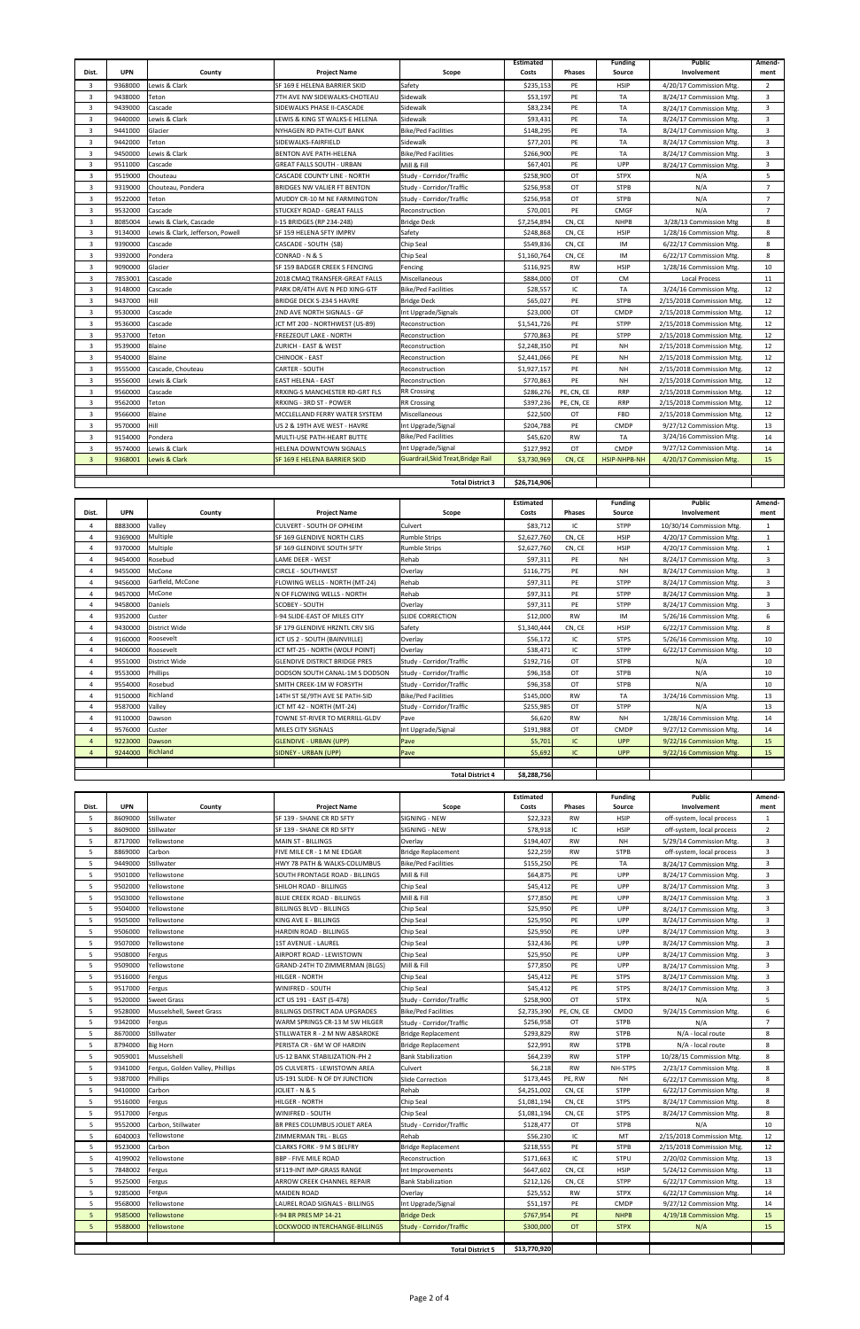|                |            |                                  |                                      |                                    | <b>Estimated</b> |            | <b>Funding</b> | <b>Public</b>             | Amend-         |
|----------------|------------|----------------------------------|--------------------------------------|------------------------------------|------------------|------------|----------------|---------------------------|----------------|
| Dist.          | <b>UPN</b> | County                           | <b>Project Name</b>                  | Scope                              | Costs            | Phases     | Source         | Involvement               | ment           |
| 3              | 9368000    | Lewis & Clark                    | SF 169 E HELENA BARRIER SKID         | Safety                             | \$235,153        | PE         | HSIP           | 4/20/17 Commission Mtg.   | $\overline{2}$ |
| 3              | 9438000    | Teton                            | 7TH AVE NW SIDEWALKS-CHOTEAU         | Sidewalk                           | \$53,197         | PE         | TA             | 8/24/17 Commission Mtg.   | $\overline{3}$ |
| 3              | 9439000    | Cascade                          | SIDEWALKS PHASE II-CASCADE           | Sidewalk                           | \$83,234         | PE         | TA             | 8/24/17 Commission Mtg.   | 3              |
| 3              | 9440000    | Lewis & Clark                    | EWIS & KING ST WALKS-E HELENA.       | Sidewalk                           | \$93,431         | PE         | <b>TA</b>      | 8/24/17 Commission Mtg.   | $\overline{3}$ |
| 3              | 9441000    | Glacier                          | NYHAGEN RD PATH-CUT BANK             | <b>Bike/Ped Facilities</b>         | \$148,295        | PE         | TA             | 8/24/17 Commission Mtg.   | 3              |
| 3              | 9442000    | Teton                            | SIDEWALKS-FAIRFIELD                  | Sidewalk                           | \$77,201         | PE         | TA             | 8/24/17 Commission Mtg.   | 3              |
| 3              | 9450000    | Lewis & Clark                    | <b>BENTON AVE PATH-HELENA</b>        | <b>Bike/Ped Facilities</b>         | \$266,900        | PE         | TA             | 8/24/17 Commission Mtg.   | 3              |
| 3              | 9511000    | Cascade                          | GREAT FALLS SOUTH - URBAN            | Mill & Fill                        | \$67,401         | PE         | UPP            | 8/24/17 Commission Mtg.   | $\overline{3}$ |
| 3              | 9519000    | Chouteau                         | CASCADE COUNTY LINE - NORTH          | Study - Corridor/Traffic           | \$258,900        | OT         | <b>STPX</b>    | N/A                       | 5              |
| 3              | 9319000    | Chouteau. Pondera                | BRIDGES NW VALIER FT BENTON          | Study - Corridor/Traffic           | \$256,958        | OT         | <b>STPB</b>    | N/A                       | $\overline{7}$ |
| 3              | 9522000    | Teton                            | MUDDY CR-10 M NE FARMINGTON          | Study - Corridor/Traffic           | \$256,958        | OT         | <b>STPB</b>    | N/A                       | $\overline{7}$ |
| 3              | 9532000    | Cascade                          | STUCKEY ROAD - GREAT FALLS           | Reconstruction                     | \$70,001         | PE         | <b>CMGF</b>    | N/A                       | $\overline{7}$ |
| 3              | 8085004    | Lewis & Clark, Cascade           | -15 BRIDGES (RP 234-248)             | <b>Bridge Deck</b>                 | \$7,254,894      | CN, CE     | <b>NHPB</b>    | 3/28/13 Commission Mtg    | 8              |
| 3              | 9134000    | Lewis & Clark, Jefferson, Powell | SF 159 HELENA SFTY IMPRV             | Safety                             | \$248,868        | CN, CE     | <b>HSIP</b>    | 1/28/16 Commission Mtg.   | 8              |
| 3              | 9390000    | Cascade                          | CASCADE - SOUTH (SB)                 | Chip Seal                          | \$549,836        | CN, CE     | IM             | 6/22/17 Commission Mtg.   | 8              |
| 3              | 9392000    | Pondera                          | CONRAD - N & S                       | Chip Seal                          | \$1,160,764      | CN, CE     | IM             | 6/22/17 Commission Mtg.   | 8              |
| 3              | 9090000    | Glacier                          | SF 159 BADGER CREEK S FENCING        | Fencing                            | \$116,925        | RW         | <b>HSIP</b>    | 1/28/16 Commission Mtg.   | 10             |
| 3              | 7853001    | Cascade                          | 2018 CMAQ TRANSFER-GREAT FALLS       | Miscellaneous                      | \$884,000        | OT         | <b>CM</b>      | <b>Local Process</b>      | 11             |
| 3              | 9148000    | Cascade                          | PARK DR/4TH AVE N PED XING-GTF       | <b>Bike/Ped Facilities</b>         | \$28,557         | IC         | <b>TA</b>      | 3/24/16 Commission Mtg.   | 12             |
| 3              | 9437000    | Hill                             | BRIDGE DECK S-234 S HAVRE            | <b>Bridge Deck</b>                 | \$65,027         | PE         | <b>STPB</b>    | 2/15/2018 Commission Mtg. | 12             |
| 3              | 9530000    | Cascade                          | 2ND AVE NORTH SIGNALS - GF           | Int Upgrade/Signals                | \$23,000         | OT         | <b>CMDP</b>    | 2/15/2018 Commission Mtg. | 12             |
| 3              | 9536000    | Cascade                          | ICT MT 200 - NORTHWEST (US-89)       | Reconstruction                     | \$1,541,726      | PE         | <b>STPP</b>    | 2/15/2018 Commission Mtg. | 12             |
| 3              | 9537000    | Teton                            | FREEZEOUT LAKE - NORTH               | Reconstruction                     | \$770,863        | PE         | <b>STPP</b>    | 2/15/2018 Commission Mtg. | 12             |
| 3              | 9539000    | Blaine                           | ZURICH - EAST & WEST                 | Reconstruction                     | \$2,248,350      | PE         | NH             | 2/15/2018 Commission Mtg. | 12             |
| 3              | 9540000    | Blaine                           | CHINOOK - EAST                       | Reconstruction                     | \$2,441,066      | PE         | NH             | 2/15/2018 Commission Mtg. | 12             |
| 3              | 9555000    | Cascade, Chouteau                | CARTER - SOUTH                       | Reconstruction                     | \$1,927,157      | PE         | NH             | 2/15/2018 Commission Mtg. | 12             |
| 3              | 9556000    | Lewis & Clark                    | EAST HELENA - EAST                   | Reconstruction                     | \$770,863        | PE         | NΗ             | 2/15/2018 Commission Mtg. | 12             |
| 3              | 9560000    | Cascade                          | RRXING-S MANCHESTER RD-GRT FLS       | <b>RR Crossing</b>                 | \$286,276        | PE, CN, CE | <b>RRP</b>     | 2/15/2018 Commission Mtg. | 12             |
| 3              | 9562000    | Teton                            | RRXING - 3RD ST - POWER              | <b>RR Crossing</b>                 | \$397,236        | PE, CN, CE | <b>RRP</b>     | 2/15/2018 Commission Mtg. | 12             |
| 3              | 9566000    | Blaine                           | MCCLELLAND FERRY WATER SYSTEM        | Miscellaneous                      | \$22,500         | OT         | FBD            | 2/15/2018 Commission Mtg. | 12             |
| 3              | 9570000    | Hill                             | US 2 & 19TH AVE WEST - HAVRE         | Int Upgrade/Signal                 | \$204,788        | PE         | <b>CMDP</b>    | 9/27/12 Commission Mtg.   | 13             |
| 3              | 9154000    | Pondera                          | MULTI-USE PATH-HEART BUTTE           | <b>Bike/Ped Facilities</b>         | \$45,620         | <b>RW</b>  | TA             | 3/24/16 Commission Mtg.   | 14             |
| 3              | 9574000    | Lewis & Clark                    | HELENA DOWNTOWN SIGNALS              | Int Upgrade/Signal                 | \$127,992        | OT         | CMDP           | 9/27/12 Commission Mtg.   | 14             |
| $\overline{3}$ | 9368001    | Lewis & Clark                    | SF 169 E HELENA BARRIER SKID         | Guardrail, Skid Treat, Bridge Rail | \$3,730,969      | CN, CE     | HSIP-NHPB-NH   | 4/20/17 Commission Mtg.   | 15             |
|                |            |                                  |                                      |                                    |                  |            |                |                           |                |
|                |            |                                  |                                      | <b>Total District 3</b>            | \$26,714,906     |            |                |                           |                |
|                |            |                                  |                                      |                                    |                  |            |                |                           |                |
|                |            |                                  |                                      |                                    | <b>Estimated</b> |            | <b>Funding</b> | <b>Public</b>             | Amend-         |
| Dist.          | <b>UPN</b> | County                           | <b>Project Name</b>                  | Scope                              | Costs            | Phases     | Source         | Involvement               | ment           |
| 4              | 8883000    | Valley                           | CULVERT - SOUTH OF OPHEIM            | Culvert                            | \$83,712         | IC         | <b>STPP</b>    | 10/30/14 Commission Mtg.  | 1              |
| 4              | 9369000    | Multiple                         | SF 169 GLENDIVE NORTH CLRS           | <b>Rumble Strips</b>               | \$2,627,760      | CN, CE     | <b>HSIP</b>    | 4/20/17 Commission Mtg.   | 1              |
| 4              | 9370000    | Multiple                         | SF 169 GLENDIVE SOUTH SFTY           | <b>Rumble Strips</b>               | \$2,627,760      | CN, CE     | <b>HSIP</b>    | 4/20/17 Commission Mtg.   | 1              |
| 4              | 9454000    | Rosebud                          | LAME DEER - WEST                     | Rehab                              | \$97,311         | PE         | NH             | 8/24/17 Commission Mtg.   | 3              |
| 4              | 9455000    | McCone                           | <b>CIRCLE - SOUTHWEST</b>            | Overlay                            | \$116,775        | PE         | <b>NH</b>      | 8/24/17 Commission Mtg.   | 3              |
| 4              | 9456000    | Garfield, McCone                 | FLOWING WELLS - NORTH (MT-24)        | Rehab                              | \$97,311         | PE         | <b>STPP</b>    | 8/24/17 Commission Mtg.   | 3              |
| 4              | 9457000    | McCone                           | N OF FLOWING WELLS - NORTH           | Rehab                              | \$97,311         | PE         | <b>STPP</b>    | 8/24/17 Commission Mtg.   | 3              |
| 4              | 9458000    | Daniels                          | SCOBEY - SOUTH                       | Overlay                            | \$97,311         | PE         | <b>STPP</b>    | 8/24/17 Commission Mtg.   | 3              |
| 4              | 9352000    | Custer                           | -94 SLIDE-EAST OF MILES CITY         | SLIDE CORRECTION                   | \$12,000         | <b>RW</b>  | IM             | 5/26/16 Commission Mtg.   | 6              |
| 4              | 9430000    | District Wide                    | SF 179 GLENDIVE HRZNTL CRV SIG       | Safety                             | \$1,340,444      | CN, CE     | <b>HSIP</b>    | 6/22/17 Commission Mtg.   | 8              |
| 4              | 9160000    | Roosevelt                        | JCT US 2 - SOUTH (BAINVIILLE)        | Overlay                            | \$56,172         | IC         | <b>STPS</b>    | 5/26/16 Commission Mtg.   | 10             |
| 4              | 9406000    | Roosevelt                        | JCT MT-25 - NORTH (WOLF POINT)       | Overlay                            | \$38,471         | IC         | <b>STPP</b>    | 6/22/17 Commission Mtg.   | 10             |
| 4              | 9551000    | District Wide                    | <b>GLENDIVE DISTRICT BRIDGE PRES</b> | Study - Corridor/Traffic           | \$192,716        | OT         | <b>STPB</b>    | N/A                       | 10             |
| 4              | 9553000    | Phillips                         | DODSON SOUTH CANAL-1M S DODSON       | Study - Corridor/Traffic           | \$96,358         | OT         | <b>STPB</b>    | N/A                       | 10             |
| 4              | 9554000    | Rosebud                          | SMITH CREEK-1M W FORSYTH             | Study - Corridor/Traffic           | \$96,358         | OT         | <b>STPB</b>    | N/A                       | 10             |
| 4              | 9150000    | Richland                         | 14TH ST SE/9TH AVE SE PATH-SID       | <b>Bike/Ped Facilities</b>         | \$145,000        | <b>RW</b>  | TA             | 3/24/16 Commission Mtg.   | 13             |
| 4              | 9587000    | Valley                           | JCT MT 42 - NORTH (MT-24)            | Study - Corridor/Traffic           | \$255,985        | OT         | <b>STPP</b>    | N/A                       | 13             |
| 4              | 9110000    | Dawson                           | TOWNE ST-RIVER TO MERRILL-GLDV       | Pave                               | \$6,620          | RW         | NH             | 1/28/16 Commission Mtg.   | 14             |
| 4              | 9576000    | Custer                           | MILES CITY SIGNALS                   | Int Upgrade/Signal                 | \$191,988        | OT         | CMDP           | 9/27/12 Commission Mtg.   | 14             |

 9223000 Dawson GLENDIVE - URBAN (UPP) Pave \$5,701 IC UPP 9/22/16 Commission Mtg. 15 9244000 Richland SIDNEY - URBAN (UPP) Pave \$5,692 IC UPP 9/22/16 Commission Mtg. 15

|                |            |                                 |                                     | <b>Total District 4</b>         | \$8,288,756               |               |                          |                              |                |
|----------------|------------|---------------------------------|-------------------------------------|---------------------------------|---------------------------|---------------|--------------------------|------------------------------|----------------|
|                |            |                                 |                                     |                                 |                           |               |                          |                              |                |
| Dist.          | <b>UPN</b> | County                          | <b>Project Name</b>                 | Scope                           | <b>Estimated</b><br>Costs | <b>Phases</b> | <b>Funding</b><br>Source | <b>Public</b><br>Involvement | Amend-<br>ment |
| 5              | 8609000    | Stillwater                      | SF 139 - SHANE CR RD SFTY           | SIGNING - NEW                   | \$22,323                  | <b>RW</b>     | <b>HSIP</b>              | off-system, local process    | $\mathbf{1}$   |
| 5              | 8609000    | Stillwater                      | SF 139 - SHANE CR RD SFTY           | SIGNING - NEW                   | \$78,918                  | IC            | <b>HSIP</b>              | off-system, local process    | $\overline{2}$ |
| 5              | 8717000    | Yellowstone                     | <b>MAIN ST - BILLINGS</b>           | Overlay                         | \$194,407                 | <b>RW</b>     | <b>NH</b>                | 5/29/14 Commission Mtg.      | 3              |
| 5              | 8869000    | Carbon                          | FIVE MILE CR - 1 M NE EDGAR         | <b>Bridge Replacement</b>       | \$22,259                  | <b>RW</b>     | <b>STPB</b>              | off-system, local process    | 3              |
| 5              | 9449000    | Stillwater                      | HWY 78 PATH & WALKS-COLUMBUS        | <b>Bike/Ped Facilities</b>      | \$155,250                 | PE            | TA                       | 8/24/17 Commission Mtg.      | 3              |
| 5              | 9501000    | Yellowstone                     | SOUTH FRONTAGE ROAD - BILLINGS      | Mill & Fill                     | \$64,875                  | PE            | UPP                      | 8/24/17 Commission Mtg       | $\overline{3}$ |
| 5              | 9502000    | Yellowstone                     | <b>SHILOH ROAD - BILLINGS</b>       | Chip Seal                       | \$45,412                  | PE            | <b>UPP</b>               | 8/24/17 Commission Mtg.      | 3              |
| 5              | 9503000    | Yellowstone                     | <b>BLUE CREEK ROAD - BILLINGS</b>   | Mill & Fill                     | \$77,850                  | PE            | UPP                      | 8/24/17 Commission Mtg.      | $\overline{3}$ |
| 5              | 9504000    | Yellowstone                     | <b>BILLINGS BLVD - BILLINGS</b>     | Chip Seal                       | \$25,950                  | PE            | <b>UPP</b>               | 8/24/17 Commission Mtg.      | $\overline{3}$ |
| 5              | 9505000    | Yellowstone                     | KING AVE E - BILLINGS               | Chip Seal                       | \$25,950                  | PE            | UPP                      | 8/24/17 Commission Mtg.      | $\overline{3}$ |
| 5              | 9506000    | Yellowstone                     | <b>HARDIN ROAD - BILLINGS</b>       | Chip Seal                       | \$25,950                  | PE            | UPP                      | 8/24/17 Commission Mtg.      | 3              |
| 5              | 9507000    | Yellowstone                     | 1ST AVENUE - LAUREL                 | Chip Seal                       | \$32,436                  | PE            | <b>UPP</b>               | 8/24/17 Commission Mtg.      | 3              |
| 5              | 9508000    | Fergus                          | AIRPORT ROAD - LEWISTOWN            | Chip Seal                       | \$25,950                  | PE            | UPP                      | 8/24/17 Commission Mtg       | 3              |
| 5              | 9509000    | Yellowstone                     | GRAND-24TH TO ZIMMERMAN (BLGS)      | Mill & Fill                     | \$77,850                  | PE            | UPP                      | 8/24/17 Commission Mtg       | 3              |
| 5              | 9516000    | Fergus                          | HILGER - NORTH                      | Chip Seal                       | \$45,412                  | PE            | <b>STPS</b>              | 8/24/17 Commission Mtg.      | $\overline{3}$ |
| 5              | 9517000    | Fergus                          | <b>WINIFRED - SOUTH</b>             | Chip Seal                       | \$45,412                  | PE            | <b>STPS</b>              | 8/24/17 Commission Mtg.      | 3              |
| 5              | 9520000    | <b>Sweet Grass</b>              | JCT US 191 - EAST (S-478)           | Study - Corridor/Traffic        | \$258,900                 | OT            | <b>STPX</b>              | N/A                          | 5              |
| 5              | 9528000    | Musselshell, Sweet Grass        | BILLINGS DISTRICT ADA UPGRADES      | <b>Bike/Ped Facilities</b>      | \$2,735,390               | PE, CN, CE    | <b>CMDO</b>              | 9/24/15 Commission Mtg.      | 6              |
| 5              | 9342000    | Fergus                          | WARM SPRINGS CR-13 M SW HILGER      | Study - Corridor/Traffic        | \$256,958                 | OT            | <b>STPB</b>              | N/A                          | $\overline{7}$ |
| 5              | 8670000    | Stillwater                      | STILLWATER R - 2 M NW ABSAROKE      | <b>Bridge Replacement</b>       | \$293,829                 | <b>RW</b>     | <b>STPB</b>              | N/A - local route            | 8              |
| 5              | 8794000    | <b>Big Horn</b>                 | PERISTA CR - 6M W OF HARDIN         | <b>Bridge Replacement</b>       | \$22,991                  | <b>RW</b>     | <b>STPB</b>              | N/A - local route            | 8              |
| 5              | 9059001    | Musselshell                     | US-12 BANK STABILIZATION-PH 2       | <b>Bank Stabilization</b>       | \$64,239                  | <b>RW</b>     | <b>STPP</b>              | 10/28/15 Commission Mtg.     | 8              |
| 5              | 9341000    | Fergus, Golden Valley, Phillips | D5 CULVERTS - LEWISTOWN AREA        | Culvert                         | \$6,218                   | <b>RW</b>     | NH-STPS                  | 2/23/17 Commission Mtg.      | 8              |
| 5              | 9387000    | Phillips                        | US-191 SLIDE- N OF DY JUNCTION      | Slide Correction                | \$173,445                 | PE, RW        | <b>NH</b>                | 6/22/17 Commission Mtg.      | 8              |
| 5              | 9410000    | Carbon                          | JOLIET - N & S                      | Rehab                           | \$4,251,002               | CN, CE        | <b>STPP</b>              | 6/22/17 Commission Mtg       | 8              |
| 5              | 9516000    | Fergus                          | <b>HILGER - NORTH</b>               | Chip Seal                       | \$1,081,194               | CN, CE        | <b>STPS</b>              | 8/24/17 Commission Mtg.      | 8              |
| 5              | 9517000    | Fergus                          | <b>WINIFRED - SOUTH</b>             | Chip Seal                       | \$1,081,194               | CN, CE        | <b>STPS</b>              | 8/24/17 Commission Mtg.      | 8              |
| 5              | 9552000    | Carbon, Stillwater              | BR PRES COLUMBUS JOLIET AREA        | Study - Corridor/Traffic        | \$128,477                 | <b>OT</b>     | <b>STPB</b>              | N/A                          | 10             |
| 5              | 6040003    | Yellowstone                     | ZIMMERMAN TRL - BLGS                | Rehab                           | \$56,230                  | IC            | MT                       | 2/15/2018 Commission Mtg.    | 12             |
| 5              | 9523000    | Carbon                          | <b>CLARKS FORK - 9 M S BELFRY</b>   | <b>Bridge Replacement</b>       | \$218,555                 | PE            | <b>STPB</b>              | 2/15/2018 Commission Mtg.    | 12             |
| 5              | 4199002    | Yellowstone                     | <b>BBP - FIVE MILE ROAD</b>         | Reconstruction                  | \$171,663                 | IC            | <b>STPU</b>              | 2/20/02 Commission Mtg.      | 13             |
| 5              | 7848002    | Fergus                          | SF119-INT IMP-GRASS RANGE           | Int Improvements                | \$647,602                 | CN, CE        | <b>HSIP</b>              | 5/24/12 Commission Mtg.      | 13             |
| 5              | 9525000    | Fergus                          | ARROW CREEK CHANNEL REPAIR          | <b>Bank Stabilization</b>       | \$212,126                 | CN, CE        | <b>STPP</b>              | 6/22/17 Commission Mtg.      | 13             |
| 5              | 9285000    | Fergus                          | <b>MAIDEN ROAD</b>                  | Overlay                         | \$25,552                  | <b>RW</b>     | <b>STPX</b>              | 6/22/17 Commission Mtg.      | 14             |
| 5              | 9568000    | Yellowstone                     | LAUREL ROAD SIGNALS - BILLINGS      | Int Upgrade/Signal              | \$51,197                  | PE            | <b>CMDP</b>              | 9/27/12 Commission Mtg.      | 14             |
| 5 <sup>1</sup> | 9585000    | <b>rellowstone</b>              | -94 BR PRES MP 14-21                | <b>Bridge Deck</b>              | \$767,954                 | PE            | <b>NHPB</b>              | 4/19/18 Commission Mtg.      | 15             |
| 5 <sup>1</sup> | 9588000    | <b>rellowstone</b>              | <b>OCKWOOD INTERCHANGE-BILLINGS</b> | <b>Study - Corridor/Traffic</b> | \$300,000                 | <b>OT</b>     | <b>STPX</b>              | N/A                          | 15             |
|                |            |                                 |                                     |                                 |                           |               |                          |                              |                |
|                |            |                                 |                                     | <b>Total District 5</b>         | \$13,770,920              |               |                          |                              |                |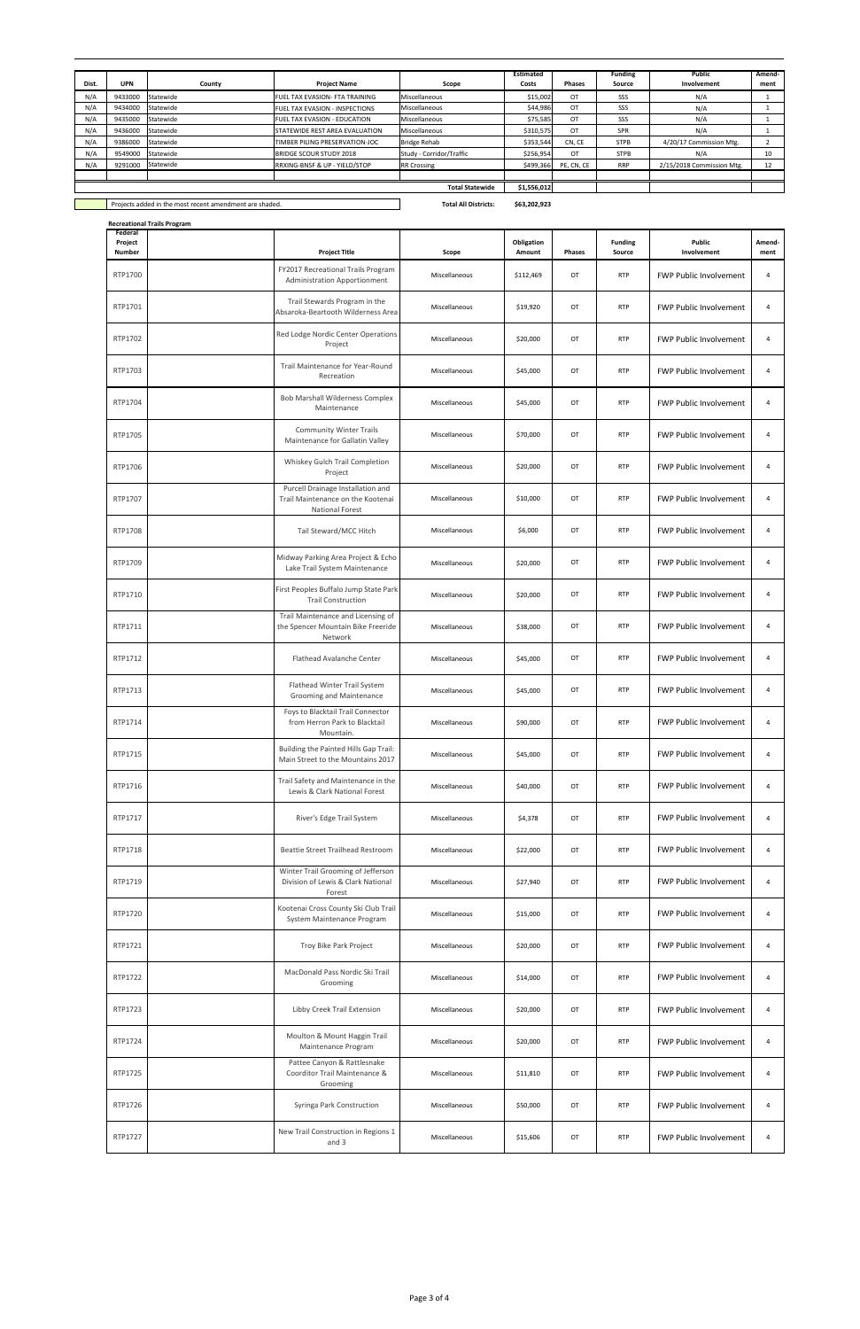**Recreational Trails Program**

|       |                                                         |           |                                       |                             | <b>Estimated</b> |               | <b>Funding</b> | <b>Public</b>             | Amend- |
|-------|---------------------------------------------------------|-----------|---------------------------------------|-----------------------------|------------------|---------------|----------------|---------------------------|--------|
| Dist. | <b>UPN</b>                                              | County    | <b>Project Name</b>                   | Scope                       | Costs            | <b>Phases</b> | Source         | Involvement               | ment   |
| N/A   | 9433000                                                 | Statewide | <b>FUEL TAX EVASION- FTA TRAINING</b> | <b>Miscellaneous</b>        | \$15,002         | OT            | SSS            | N/A                       |        |
| N/A   | 9434000                                                 | Statewide | FUEL TAX EVASION - INSPECTIONS        | <b>Miscellaneous</b>        | \$44,986         | OT            | SSS            | N/A                       |        |
| N/A   | 9435000                                                 | Statewide | <b>FUEL TAX EVASION - EDUCATION</b>   | <b>Miscellaneous</b>        | \$75,585         | OT            | SSS            | N/A                       |        |
| N/A   | 9436000                                                 | Statewide | <b>STATEWIDE REST AREA EVALUATION</b> | <b>Miscellaneous</b>        | \$310,575        | OT            | SPR            | N/A                       |        |
| N/A   | 9386000                                                 | Statewide | TIMBER PILING PRESERVATION-JOC        | <b>Bridge Rehab</b>         | \$353,544        | CN, CE        | <b>STPB</b>    | 4/20/17 Commission Mtg.   |        |
| N/A   | 9549000                                                 | Statewide | <b>BRIDGE SCOUR STUDY 2018</b>        | Study - Corridor/Traffic    | \$256,954        | <b>OT</b>     | <b>STPB</b>    | N/A                       | 10     |
| N/A   | 9291000                                                 | Statewide | RRXING-BNSF & UP - YIELD/STOP         | <b>RR Crossing</b>          | \$499,366        | PE, CN, CE    | <b>RRP</b>     | 2/15/2018 Commission Mtg. | 12     |
|       |                                                         |           |                                       |                             |                  |               |                |                           |        |
|       |                                                         |           |                                       | <b>Total Statewide</b>      | \$1,556,012      |               |                |                           |        |
|       |                                                         |           |                                       |                             |                  |               |                |                           |        |
|       | Projects added in the most recent amendment are shaded. |           |                                       | <b>Total All Districts:</b> | \$63,202,923     |               |                |                           |        |

| Federal<br>Project<br><b>Number</b> | <b>Project Title</b>                                                                             | Scope         | Obligation<br>Amount | <b>Phases</b> | <b>Funding</b><br>Source | Public<br>Involvement         | Amend-<br>ment |
|-------------------------------------|--------------------------------------------------------------------------------------------------|---------------|----------------------|---------------|--------------------------|-------------------------------|----------------|
| RTP1700                             | FY2017 Recreational Trails Program<br>Administration Apportionment                               | Miscellaneous | \$112,469            | OT            | <b>RTP</b>               | <b>FWP Public Involvement</b> | 4              |
| RTP1701                             | Trail Stewards Program in the<br>Absaroka-Beartooth Wilderness Area                              | Miscellaneous | \$19,920             | OT            | <b>RTP</b>               | <b>FWP Public Involvement</b> | 4              |
| RTP1702                             | Red Lodge Nordic Center Operations<br>Project                                                    | Miscellaneous | \$20,000             | OT            | <b>RTP</b>               | <b>FWP Public Involvement</b> | 4              |
| RTP1703                             | Trail Maintenance for Year-Round<br>Recreation                                                   | Miscellaneous | \$45,000             | OT            | <b>RTP</b>               | <b>FWP Public Involvement</b> | 4              |
| RTP1704                             | Bob Marshall Wilderness Complex<br>Maintenance                                                   | Miscellaneous | \$45,000             | OT            | <b>RTP</b>               | <b>FWP Public Involvement</b> | $\overline{4}$ |
| RTP1705                             | <b>Community Winter Trails</b><br>Maintenance for Gallatin Valley                                | Miscellaneous | \$70,000             | OT            | <b>RTP</b>               | <b>FWP Public Involvement</b> | 4              |
| RTP1706                             | Whiskey Gulch Trail Completion<br>Project                                                        | Miscellaneous | \$20,000             | OT            | <b>RTP</b>               | <b>FWP Public Involvement</b> | $\overline{4}$ |
| RTP1707                             | Purcell Drainage Installation and<br>Trail Maintenance on the Kootenai<br><b>National Forest</b> | Miscellaneous | \$10,000             | OT            | <b>RTP</b>               | <b>FWP Public Involvement</b> | 4              |
| RTP1708                             | Tail Steward/MCC Hitch                                                                           | Miscellaneous | \$6,000              | OT            | <b>RTP</b>               | <b>FWP Public Involvement</b> | 4              |
| RTP1709                             | Midway Parking Area Project & Echo<br>Lake Trail System Maintenance                              | Miscellaneous | \$20,000             | OT            | <b>RTP</b>               | <b>FWP Public Involvement</b> | 4              |
| RTP1710                             | First Peoples Buffalo Jump State Park<br><b>Trail Construction</b>                               | Miscellaneous | \$20,000             | OT            | <b>RTP</b>               | <b>FWP Public Involvement</b> | 4              |
| RTP1711                             | Trail Maintenance and Licensing of<br>the Spencer Mountain Bike Freeride<br>Network              | Miscellaneous | \$38,000             | OT            | <b>RTP</b>               | <b>FWP Public Involvement</b> | 4              |
| RTP1712                             | Flathead Avalanche Center                                                                        | Miscellaneous | \$45,000             | OT            | <b>RTP</b>               | <b>FWP Public Involvement</b> | 4              |
| RTP1713                             | Flathead Winter Trail System<br>Grooming and Maintenance                                         | Miscellaneous | \$45,000             | OT            | <b>RTP</b>               | <b>FWP Public Involvement</b> | 4              |
| RTP1714                             | Foys to Blacktail Trail Connector<br>from Herron Park to Blacktail<br>Mountain.                  | Miscellaneous | \$90,000             | OT            | <b>RTP</b>               | <b>FWP Public Involvement</b> | 4              |
| RTP1715                             | Building the Painted Hills Gap Trail:<br>Main Street to the Mountains 2017                       | Miscellaneous | \$45,000             | OT            | <b>RTP</b>               | <b>FWP Public Involvement</b> | 4              |
| RTP1716                             | Trail Safety and Maintenance in the<br>Lewis & Clark National Forest                             | Miscellaneous | \$40,000             | OT            | <b>RTP</b>               | <b>FWP Public Involvement</b> | 4              |
| RTP1717                             | River's Edge Trail System                                                                        | Miscellaneous | \$4,378              | OT            | <b>RTP</b>               | <b>FWP Public Involvement</b> | 4              |
| RTP1718                             | Beattie Street Trailhead Restroom                                                                | Miscellaneous | \$22,000             | OT            | <b>RTP</b>               | <b>FWP Public Involvement</b> | 4              |
| RTP1719                             | Winter Trail Grooming of Jefferson<br>Division of Lewis & Clark National<br>Forest               | Miscellaneous | \$27,940             | OT            | <b>RTP</b>               | <b>FWP Public Involvement</b> | 4              |
| RTP1720                             | Kootenai Cross County Ski Club Trail<br>System Maintenance Program                               | Miscellaneous | \$15,000             | OT            | <b>RTP</b>               | <b>FWP Public Involvement</b> | 4              |
| RTP1721                             | Troy Bike Park Project                                                                           | Miscellaneous | \$20,000             | OT            | <b>RTP</b>               | <b>FWP Public Involvement</b> | 4              |
| RTP1722                             | MacDonald Pass Nordic Ski Trail<br>Grooming                                                      | Miscellaneous | \$14,000             | OT            | <b>RTP</b>               | <b>FWP Public Involvement</b> | 4              |
| RTP1723                             | Libby Creek Trail Extension                                                                      | Miscellaneous | \$20,000             | OT            | <b>RTP</b>               | <b>FWP Public Involvement</b> | 4              |
| RTP1724                             | Moulton & Mount Haggin Trail<br>Maintenance Program                                              | Miscellaneous | \$20,000             | OT            | <b>RTP</b>               | <b>FWP Public Involvement</b> | 4              |
| RTP1725                             | Pattee Canyon & Rattlesnake<br>Coorditor Trail Maintenance &<br>Grooming                         | Miscellaneous | \$11,810             | OT            | <b>RTP</b>               | <b>FWP Public Involvement</b> | 4              |
| RTP1726                             | Syringa Park Construction                                                                        | Miscellaneous | \$50,000             | OT            | <b>RTP</b>               | <b>FWP Public Involvement</b> | 4              |
| RTP1727                             | New Trail Construction in Regions 1<br>and 3                                                     | Miscellaneous | \$15,606             | OT            | <b>RTP</b>               | <b>FWP Public Involvement</b> | 4              |